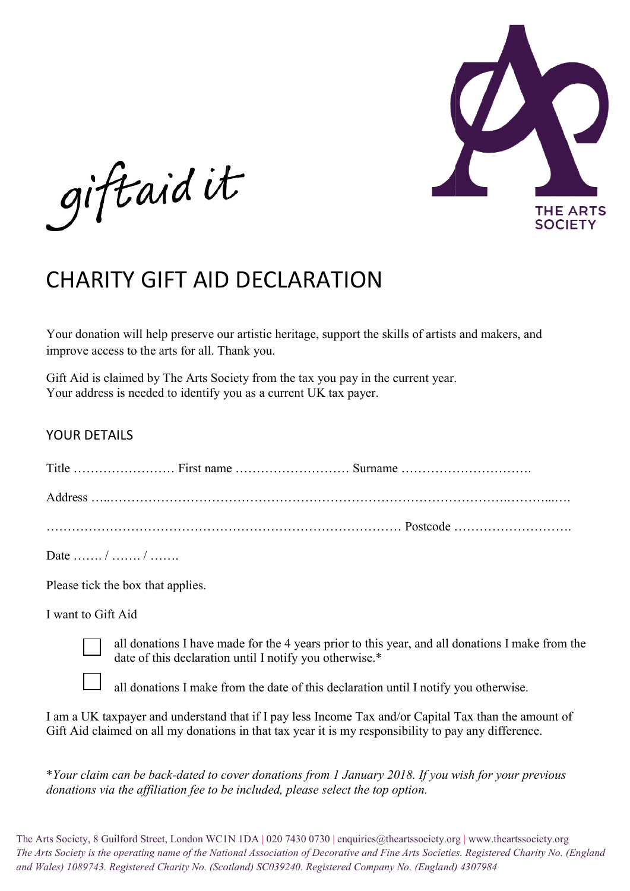

giftaid it

## CHARITY GIFT AID DECLARATION

Your donation will help preserve our artistic heritage, support the skills of artists and makers, and<br>improve access to the arts for all. Thank you.<br>Gift Aid is claimed by The Arts Society from the tax you pay in the curre improve access to the arts for all. Thank you.

Gift Aid is claimed by The Arts Society from the tax you pay in the current year. Your address is needed to identify you as a current UK tax payer.

## YOUR DETAILS

| Your address is needed to identify you as a current UK tax payer.                                                                                                                                                                                                                                                                                               |
|-----------------------------------------------------------------------------------------------------------------------------------------------------------------------------------------------------------------------------------------------------------------------------------------------------------------------------------------------------------------|
| <b>YOUR DETAILS</b>                                                                                                                                                                                                                                                                                                                                             |
|                                                                                                                                                                                                                                                                                                                                                                 |
|                                                                                                                                                                                                                                                                                                                                                                 |
|                                                                                                                                                                                                                                                                                                                                                                 |
| Date  /  /                                                                                                                                                                                                                                                                                                                                                      |
| Please tick the box that applies.                                                                                                                                                                                                                                                                                                                               |
| I want to Gift Aid                                                                                                                                                                                                                                                                                                                                              |
| all donations I have made for the 4 years prior to this year, and all donations I make from t<br>date of this declaration until I notify you otherwise.*                                                                                                                                                                                                        |
| all donations I make from the date of this declaration until I notify you otherwise.                                                                                                                                                                                                                                                                            |
| I am a UK taxpayer and understand that if I pay less Income Tax and/or Capital Tax than the amount of<br>Gift Aid claimed on all my donations in that tax year it is my responsibility to pay any difference.                                                                                                                                                   |
| *Your claim can be back-dated to cover donations from 1 January 2018. If you wish for your previous<br>donations via the affiliation fee to be included, please select the top option.                                                                                                                                                                          |
| rts Society, 8 Guilford Street, London WC1N 1DA   020 7430 0730   enquiries@theartssociety.org   www.theartssociety.org<br>ts Society is the operating name of the National Association of Decorative and Fine Arts Societies. Registered Charity No. (E<br>ales) 1089743. Registered Charity No. (Scotland) SC039240. Registered Company No. (England) 4307984 |

The Arts Society, 8 Guilford Street, London WC1N 1DA | 020 7430 0730 | enquiries@theartssociety.org | www.theartssociety.org The Arts Society is the operating name of the National Association of Decorative and Fine Arts Societies. Registered Charity No. (England and Wales) 1089743. Registered Charity No. (Scotland) SC039240. Registered Company No. (England) 4307984